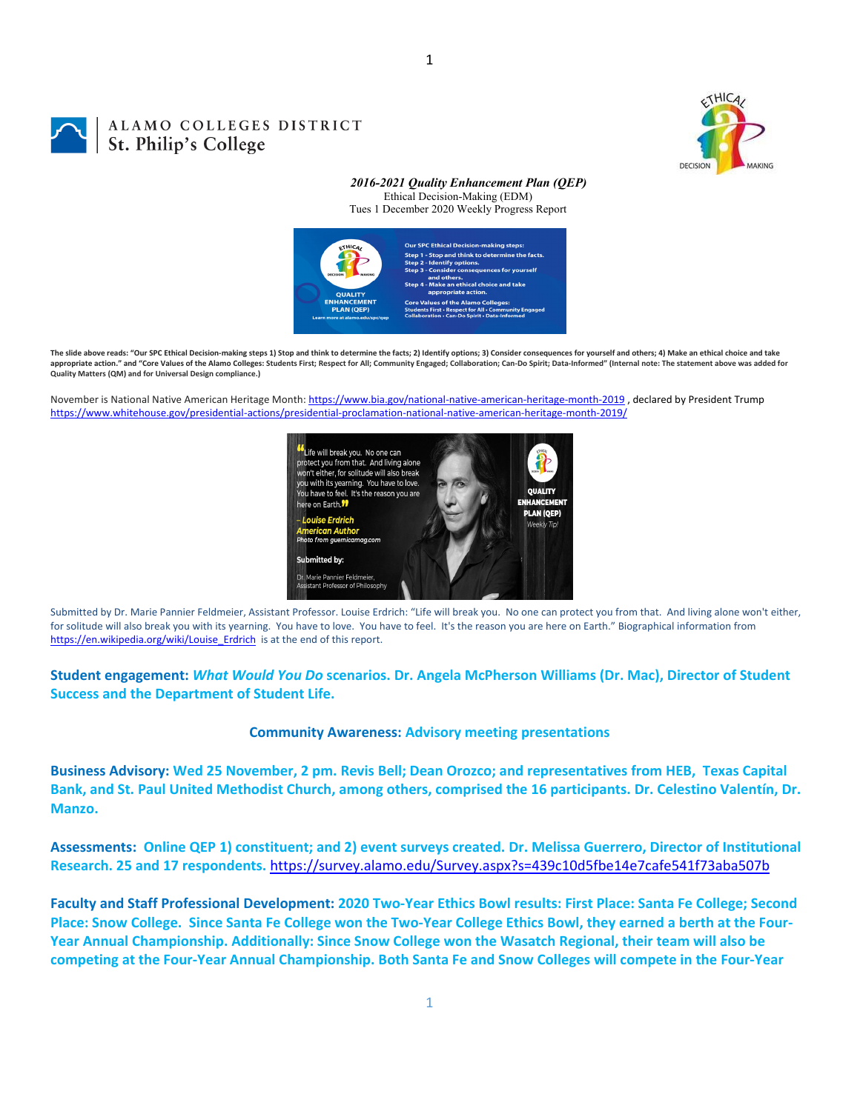

## ALAMO COLLEGES DISTRICT St. Philip's College

#### *2016-2021 Quality Enhancement Plan (QEP)* Ethical Decision-Making (EDM) Tues 1 December 2020 Weekly Progress Report



The slide above reads: "Our SPC Ethical Decision-making steps 1) Stop and think to determine the facts: 2) Identify options: 3) Consider consequences for yourself and others: 4) Make an ethical choice and take appropriate action." and "Core Values of the Alamo Colleges: Students First; Respect for All; Community Engaged; Collaboration; Can-Do Spirit; Data-Informed" (Internal note: The statement above was added for **Quality Matters (QM) and for Universal Design compliance.)**

November is National Native American Heritage Month: https://www.bia.gov/national-native-american-heritage-month-2019, declared by President Trump https://www.whitehouse.gov/presidential‐actions/presidential‐proclamation‐national‐native‐american‐heritage‐month‐2019/



Submitted by Dr. Marie Pannier Feldmeier, Assistant Professor. Louise Erdrich: "Life will break you. No one can protect you from that. And living alone won't either, for solitude will also break you with its yearning. You have to love. You have to feel. It's the reason you are here on Earth." Biographical information from https://en.wikipedia.org/wiki/Louise\_Erdrich is at the end of this report.

**Student engagement:** *What Would You Do* **scenarios. Dr. Angela McPherson Williams (Dr. Mac), Director of Student Success and the Department of Student Life.**

#### **Community Awareness: Advisory meeting presentations**

Business Advisory: Wed 25 November, 2 pm. Revis Bell; Dean Orozco; and representatives from HEB, Texas Capital Bank, and St. Paul United Methodist Church, among others, comprised the 16 participants. Dr. Celestino Valentín, Dr. **Manzo.**

Assessments: Online QEP 1) constituent; and 2) event surveys created. Dr. Melissa Guerrero, Director of Institutional **Research. 25 and 17 respondents.** https://survey.alamo.edu/Survey.aspx?s=439c10d5fbe14e7cafe541f73aba507b

Faculty and Staff Professional Development: 2020 Two-Year Ethics Bowl results: First Place: Santa Fe College; Second Place: Snow College. Since Santa Fe College won the Two-Year College Ethics Bowl, they earned a berth at the Four-**Year Annual Championship. Additionally: Since Snow College won the Wasatch Regional, their team will also be** competing at the Four-Year Annual Championship. Both Santa Fe and Snow Colleges will compete in the Four-Year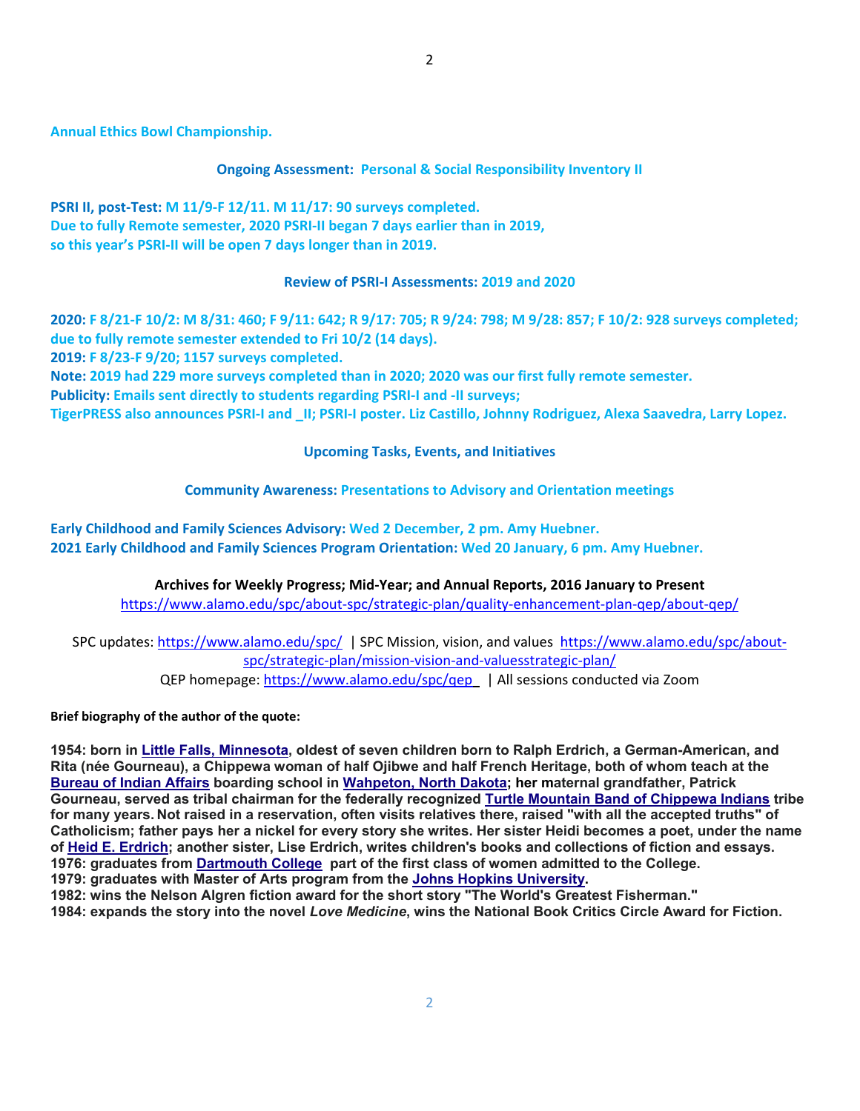**Annual Ethics Bowl Championship.**

**Ongoing Assessment: Personal & Social Responsibility Inventory II**

**PSRI II, post‐Test: M 11/9‐F 12/11. M 11/17: 90 surveys completed. Due to fully Remote semester, 2020 PSRI‐II began 7 days earlier than in 2019, so this year's PSRI‐II will be open 7 days longer than in 2019.**

#### **Review of PSRI‐I Assessments: 2019 and 2020**

2020: F 8/21-F 10/2: M 8/31: 460; F 9/11: 642; R 9/17: 705; R 9/24: 798; M 9/28: 857; F 10/2: 928 surveys completed; **due to fully remote semester extended to Fri 10/2 (14 days). 2019: F 8/23‐F 9/20; 1157 surveys completed.**

Note: 2019 had 229 more surveys completed than in 2020; 2020 was our first fully remote semester.

**Publicity: Emails sent directly to students regarding PSRI‐I and ‐II surveys;** 

TigerPRESS also announces PSRI-I and II; PSRI-I poster. Liz Castillo, Johnny Rodriguez, Alexa Saavedra, Larry Lopez.

**Upcoming Tasks, Events, and Initiatives**

### **Community Awareness: Presentations to Advisory and Orientation meetings**

**Early Childhood and Family Sciences Advisory: Wed 2 December, 2 pm. Amy Huebner. 2021 Early Childhood and Family Sciences Program Orientation: Wed 20 January, 6 pm. Amy Huebner.**

> **Archives for Weekly Progress; Mid‐Year; and Annual Reports, 2016 January to Present** https://www.alamo.edu/spc/about‐spc/strategic‐plan/quality‐enhancement‐plan‐qep/about‐qep/

SPC updates: https://www.alamo.edu/spc/ | SPC Mission, vision, and values https://www.alamo.edu/spc/about‐ spc/strategic‐plan/mission‐vision‐and‐valuesstrategic‐plan/ QEP homepage: https://www.alamo.edu/spc/qep | All sessions conducted via Zoom

**Brief biography of the author of the quote:**

**1954: born in Little Falls, Minnesota, oldest of seven children born to Ralph Erdrich, a German-American, and Rita (née Gourneau), a Chippewa woman of half Ojibwe and half French Heritage, both of whom teach at the Bureau of Indian Affairs boarding school in Wahpeton, North Dakota; her maternal grandfather, Patrick Gourneau, served as tribal chairman for the federally recognized Turtle Mountain Band of Chippewa Indians tribe for many years. Not raised in a reservation, often visits relatives there, raised "with all the accepted truths" of Catholicism; father pays her a nickel for every story she writes. Her sister Heidi becomes a poet, under the name of Heid E. Erdrich; another sister, Lise Erdrich, writes children's books and collections of fiction and essays. 1976: graduates from Dartmouth College part of the first class of women admitted to the College. 1979: graduates with Master of Arts program from the Johns Hopkins University.** 

**1982: wins the Nelson Algren fiction award for the short story "The World's Greatest Fisherman."** 

**1984: expands the story into the novel** *Love Medicine***, wins the National Book Critics Circle Award for Fiction.**